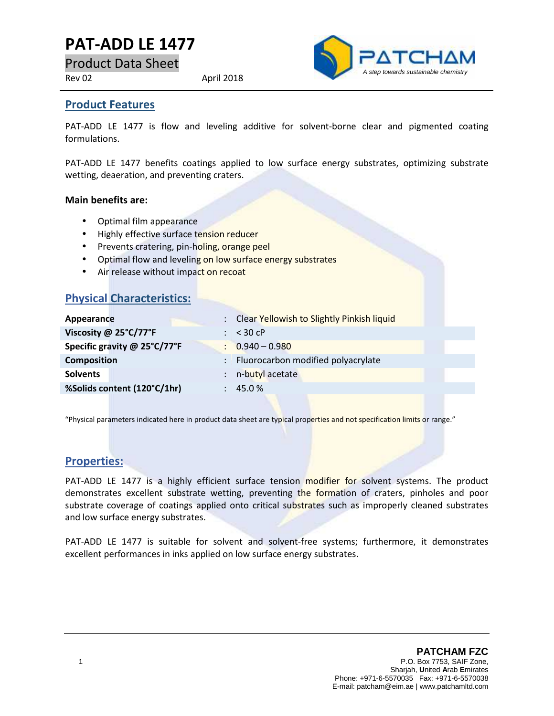# **PAT-ADD LE 1477**

Product Data Sheet

Rev 02 April 2018



### **Product Features**

PAT-ADD LE 1477 is flow and leveling additive for solvent-borne clear and pigmented coating formulations.

PAT-ADD LE 1477 benefits coatings applied to low surface energy substrates, optimizing substrate wetting, deaeration, and preventing craters.

#### **Main benefits are:**

- Optimal film appearance
- Highly effective surface tension reducer
- **•** Prevents cratering, pin-holing, orange peel
- Optimal flow and leveling on low surface energy substrates
- Air release without impact on recoat

### **Physical Characteristics:**

| Appearance                   |               | : Clear Yellowish to Slightly Pinkish liquid |
|------------------------------|---------------|----------------------------------------------|
| Viscosity @ 25°C/77°F        |               | $\div$ < 30 cP                               |
| Specific gravity @ 25°C/77°F |               | $\therefore$ 0.940 - 0.980                   |
| <b>Composition</b>           | $\mathcal{L}$ | Fluorocarbon modified polyacrylate           |
| <b>Solvents</b>              |               | n-butyl acetate                              |
| %Solids content (120°C/1hr)  |               | 45.0%                                        |
|                              |               |                                              |

"Physical parameters indicated here in product data sheet are typical properties and not specification limits or range."

## **Properties:**

PAT-ADD LE 1477 is a highly efficient surface tension modifier for solvent systems. The product demonstrates excellent substrate wetting, preventing the formation of craters, pinholes and poor substrate coverage of coatings applied onto critical substrates such as improperly cleaned substrates and low surface energy substrates.

PAT-ADD LE 1477 is suitable for solvent and solvent-free systems; furthermore, it demonstrates excellent performances in inks applied on low surface energy substrates.